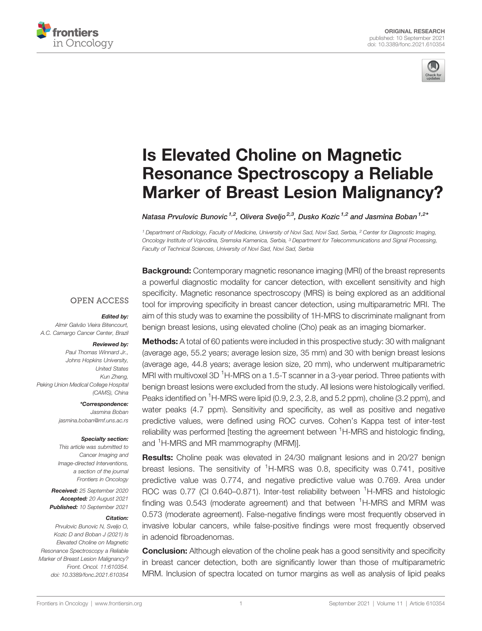



# [Is Elevated Choline on Magnetic](https://www.frontiersin.org/articles/10.3389/fonc.2021.610354/full) [Resonance Spectroscopy a Reliable](https://www.frontiersin.org/articles/10.3389/fonc.2021.610354/full) [Marker of Breast Lesion Malignancy?](https://www.frontiersin.org/articles/10.3389/fonc.2021.610354/full)

Natasa Prvulovic Bunovic<sup>1,2</sup>, Olivera Sveljo<sup>2,3</sup>, Dusko Kozic<sup>1,2</sup> and Jasmina Boban<sup>1,2\*</sup>

<sup>1</sup> Department of Radiology, Faculty of Medicine, University of Novi Sad, Novi Sad, Serbia, <sup>2</sup> Center for Diagnostic Imaging, Oncology Institute of Vojvodina, Sremska Kamenica, Serbia, <sup>3</sup> Department for Telecommunications and Signal Processing, Faculty of Technical Sciences, University of Novi Sad, Novi Sad, Serbia

**Background:** Contemporary magnetic resonance imaging (MRI) of the breast represents a powerful diagnostic modality for cancer detection, with excellent sensitivity and high specificity. Magnetic resonance spectroscopy (MRS) is being explored as an additional tool for improving specificity in breast cancer detection, using multiparametric MRI. The aim of this study was to examine the possibility of 1H-MRS to discriminate malignant from benign breast lesions, using elevated choline (Cho) peak as an imaging biomarker.

#### **OPEN ACCESS**

#### Edited by:

Almir Galvão Vieira Bitencourt, A.C. Camargo Cancer Center, Brazil

#### Reviewed by:

Paul Thomas Winnard Jr., Johns Hopkins University, United States Kun Zheng, Peking Union Medical College Hospital (CAMS), China

> \*Correspondence: Jasmina Boban [jasmina.boban@mf.uns.ac.rs](mailto:jasmina.boban@mf.uns.ac.rs)

#### Specialty section:

This article was submitted to Cancer Imaging and Image-directed Interventions, a section of the journal Frontiers in Oncology

Received: 25 September 2020 Accepted: 20 August 2021 Published: 10 September 2021

#### Citation:

Prvulovic Bunovic N, Sveljo O, Kozic D and Boban J (2021) Is Elevated Choline on Magnetic Resonance Spectroscopy a Reliable Marker of Breast Lesion Malignancy? Front. Oncol. 11:610354. [doi: 10.3389/fonc.2021.610354](https://doi.org/10.3389/fonc.2021.610354)

Methods: A total of 60 patients were included in this prospective study: 30 with malignant (average age, 55.2 years; average lesion size, 35 mm) and 30 with benign breast lesions (average age, 44.8 years; average lesion size, 20 mm), who underwent multiparametric MRI with multivoxel 3D <sup>1</sup>H-MRS on a 1.5-T scanner in a 3-year period. Three patients with benign breast lesions were excluded from the study. All lesions were histologically verified. Peaks identified on <sup>1</sup>H-MRS were lipid (0.9, 2.3, 2.8, and 5.2 ppm), choline (3.2 ppm), and water peaks (4.7 ppm). Sensitivity and specificity, as well as positive and negative predictive values, were defined using ROC curves. Cohen's Kappa test of inter-test reliability was performed [testing the agreement between <sup>1</sup>H-MRS and histologic finding, and <sup>1</sup>H-MRS and MR mammography (MRM)].

Results: Choline peak was elevated in 24/30 malignant lesions and in 20/27 benign breast lesions. The sensitivity of <sup>1</sup>H-MRS was 0.8, specificity was 0.741, positive predictive value was 0.774, and negative predictive value was 0.769. Area under ROC was 0.77 (CI 0.640-0.871). Inter-test reliability between <sup>1</sup>H-MRS and histologic finding was 0.543 (moderate agreement) and that between <sup>1</sup>H-MRS and MRM was 0.573 (moderate agreement). False-negative findings were most frequently observed in invasive lobular cancers, while false-positive findings were most frequently observed in adenoid fibroadenomas.

**Conclusion:** Although elevation of the choline peak has a good sensitivity and specificity in breast cancer detection, both are significantly lower than those of multiparametric MRM. Inclusion of spectra located on tumor margins as well as analysis of lipid peaks

[Frontiers in Oncology](https://www.frontiersin.org/journals/oncology) | [www.frontiersin.org](http://www.frontiersin.org/) 1 3 and 1 [September 2021 | Volume 11 | Article 610354](https://www.frontiersin.org/journals/oncology#articles)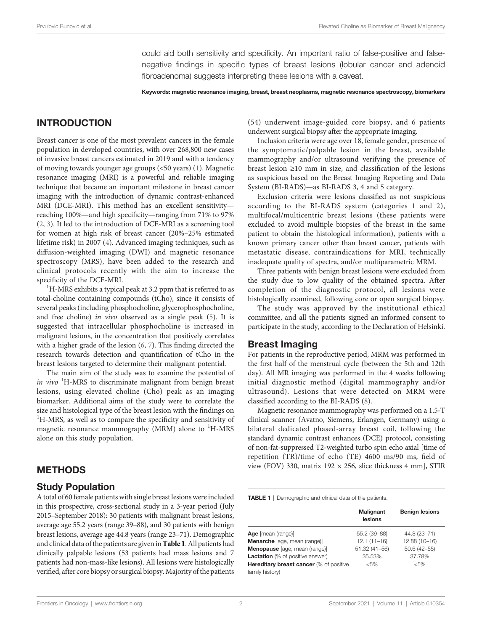could aid both sensitivity and specificity. An important ratio of false-positive and falsenegative findings in specific types of breast lesions (lobular cancer and adenoid fibroadenoma) suggests interpreting these lesions with a caveat.

Keywords: magnetic resonance imaging, breast, breast neoplasms, magnetic resonance spectroscopy, biomarkers

# INTRODUCTION

Breast cancer is one of the most prevalent cancers in the female population in developed countries, with over 268,800 new cases of invasive breast cancers estimated in 2019 and with a tendency of moving towards younger age groups (<50 years) ([1](#page-5-0)). Magnetic resonance imaging (MRI) is a powerful and reliable imaging technique that became an important milestone in breast cancer imaging with the introduction of dynamic contrast-enhanced MRI (DCE-MRI). This method has an excellent sensitivity reaching 100%—and high specificity—ranging from 71% to 97% ([2](#page-5-0), [3](#page-5-0)). It led to the introduction of DCE-MRI as a screening tool for women at high risk of breast cancer (20%–25% estimated lifetime risk) in 2007 [\(4\)](#page-5-0). Advanced imaging techniques, such as diffusion-weighted imaging (DWI) and magnetic resonance spectroscopy (MRS), have been added to the research and clinical protocols recently with the aim to increase the specificity of the DCE-MRI.

 ${}^{1}$ H-MRS exhibits a typical peak at 3.2 ppm that is referred to as total-choline containing compounds (tCho), since it consists of several peaks (including phosphocholine, glycerophosphocholine, and free choline) in vivo observed as a single peak ([5](#page-5-0)). It is suggested that intracellular phosphocholine is increased in malignant lesions, in the concentration that positively correlates with a higher grade of the lesion ([6](#page-5-0), [7\)](#page-5-0). This finding directed the research towards detection and quantification of tCho in the breast lesions targeted to determine their malignant potential.

The main aim of the study was to examine the potential of in vivo <sup>1</sup>H-MRS to discriminate malignant from benign breast lesions, using elevated choline (Cho) peak as an imaging biomarker. Additional aims of the study were to correlate the size and histological type of the breast lesion with the findings on <sup>1</sup> <sup>1</sup>H-MRS, as well as to compare the specificity and sensitivity of magnetic resonance mammography (MRM) alone to <sup>1</sup>H-MRS alone on this study population.

### **METHODS**

#### Study Population

A total of 60 female patients with single breast lesions were included in this prospective, cross-sectional study in a 3-year period (July 2015–September 2018): 30 patients with malignant breast lesions, average age 55.2 years (range 39–88), and 30 patients with benign breast lesions, average age 44.8 years (range 23–71). Demographic and clinical data of the patients are given in Table 1. All patients had clinically palpable lesions (53 patients had mass lesions and 7 patients had non-mass-like lesions). All lesions were histologically verified, after core biopsy or surgical biopsy.Majority of the patients (54) underwent image-guided core biopsy, and 6 patients underwent surgical biopsy after the appropriate imaging.

Inclusion criteria were age over 18, female gender, presence of the symptomatic/palpable lesion in the breast, available mammography and/or ultrasound verifying the presence of breast lesion ≥10 mm in size, and classification of the lesions as suspicious based on the Breast Imaging Reporting and Data System (BI-RADS)—as BI-RADS 3, 4 and 5 category.

Exclusion criteria were lesions classified as not suspicious according to the BI-RADS system (categories 1 and 2), multifocal/multicentric breast lesions (these patients were excluded to avoid multiple biopsies of the breast in the same patient to obtain the histological information), patients with a known primary cancer other than breast cancer, patients with metastatic disease, contraindications for MRI, technically inadequate quality of spectra, and/or multiparametric MRM.

Three patients with benign breast lesions were excluded from the study due to low quality of the obtained spectra. After completion of the diagnostic protocol, all lesions were histologically examined, following core or open surgical biopsy.

The study was approved by the institutional ethical committee, and all the patients signed an informed consent to participate in the study, according to the Declaration of Helsinki.

#### Breast Imaging

For patients in the reproductive period, MRM was performed in the first half of the menstrual cycle (between the 5th and 12th day). All MR imaging was performed in the 4 weeks following initial diagnostic method (digital mammography and/or ultrasound). Lesions that were detected on MRM were classified according to the BI-RADS ([8\)](#page-5-0).

Magnetic resonance mammography was performed on a 1.5-T clinical scanner (Avatno, Siemens, Erlangen, Germany) using a bilateral dedicated phased-array breast coil, following the standard dynamic contrast enhances (DCE) protocol, consisting of non-fat-suppressed T2-weighted turbo spin echo axial [time of repetition (TR)/time of echo (TE) 4600 ms/90 ms, field of view (FOV) 330, matrix  $192 \times 256$ , slice thickness 4 mm], STIR

TABLE 1 | Demographic and clinical data of the patients.

| <b>Malignant</b><br>lesions | <b>Benign lesions</b> |
|-----------------------------|-----------------------|
| 55.2 (39-88)                | 44.8 (23-71)          |
| $12.1(11 - 16)$             | 12.88 (10-16)         |
| 51.32 (41-56)               | $50.6(42 - 55)$       |
| 35.53%                      | 37.78%                |
| $< 5\%$                     | $< 5\%$               |
|                             |                       |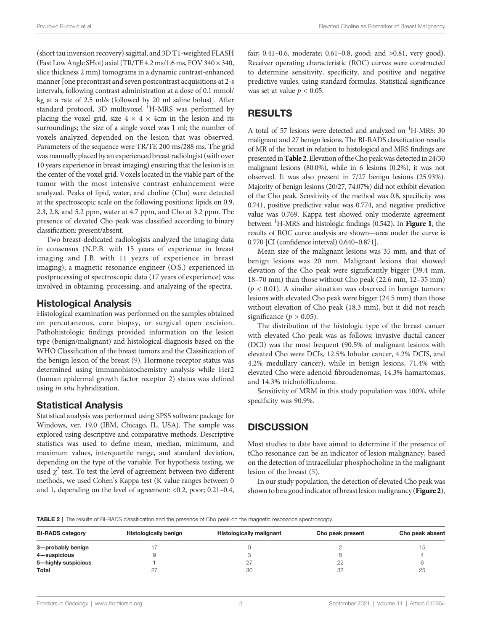(short tau inversion recovery) sagittal, and 3D T1-weighted FLASH (Fast Low Angle SHot) axial (TR/TE 4.2 ms/1.6 ms, FOV 340  $\times$  340, slice thickness 2 mm) tomograms in a dynamic contrast-enhanced manner [one precontrast and seven postcontrast acquisitions at 2-s intervals, following contrast administration at a dose of 0.1 mmol/ kg at a rate of 2.5 ml/s (followed by 20 ml saline bolus)]. After standard protocol, 3D multivoxel <sup>1</sup>H-MRS was performed by placing the voxel grid, size  $4 \times 4 \times 4$ cm in the lesion and its surroundings; the size of a single voxel was 1 ml; the number of voxels analyzed depended on the lesion that was observed. Parameters of the sequence were TR/TE 200 ms/288 ms. The grid was manually placed by an experienced breast radiologist (with over 10 years experience in breast imaging) ensuring that the lesion is in the center of the voxel grid. Voxels located in the viable part of the tumor with the most intensive contrast enhancement were analyzed. Peaks of lipid, water, and choline (Cho) were detected at the spectroscopic scale on the following positions: lipids on 0.9, 2.3, 2.8, and 5.2 ppm, water at 4.7 ppm, and Cho at 3.2 ppm. The presence of elevated Cho peak was classified according to binary classification: present/absent.

Two breast-dedicated radiologists analyzed the imaging data in consensus (N.P.B. with 15 years of experience in breast imaging and J.B. with 11 years of experience in breast imaging); a magnetic resonance engineer (O.S.) experienced in postprocessing of spectroscopic data (17 years of experience) was involved in obtaining, processing, and analyzing of the spectra.

## Histological Analysis

Histological examination was performed on the samples obtained on percutaneous, core biopsy, or surgical open excision. Pathohistologic findings provided information on the lesion type (benign/malignant) and histological diagnosis based on the WHO Classification of the breast tumors and the Classification of the benign lesion of the breast [\(9\)](#page-5-0). Hormone receptor status was determined using immunohistochemistry analysis while Her2 (human epidermal growth factor receptor 2) status was defined using in situ hybridization.

## Statistical Analysis

Statistical analysis was performed using SPSS software package for Windows, ver. 19.0 (IBM, Chicago, IL, USA). The sample was explored using descriptive and comparative methods. Descriptive statistics was used to define mean, median, minimum, and maximum values, interquartile range, and standard deviation, depending on the type of the variable. For hypothesis testing, we used  $\chi^2$  test. To test the level of agreement between two different methods, we used Cohen's Kappa test (K value ranges between 0 and 1, depending on the level of agreement: <0.2, poor; 0.21–0.4,

fair; 0.41–0.6, moderate; 0.61–0.8, good; and >0.81, very good). Receiver operating characteristic (ROC) curves were constructed to determine sensitivity, specificity, and positive and negative predictive vaules, using standard formulas. Statistical significance was set at value  $p < 0.05$ .

# RESULTS

A total of 57 lesions were detected and analyzed on <sup>1</sup>H-MRS: 30 malignant and 27 benign lesions. The BI-RADS classification results of MR of the breast in relation to histological and MRS findings are presented inTable 2. Elevation of the Cho peak was detected in 24/30 malignant lesions (80.0%), while in 6 lesions (0.2%), it was not observed. It was also present in 7/27 benign lesions (25.93%). Majority of benign lesions (20/27, 74.07%) did not exhibit elevation of the Cho peak. Sensitivity of the method was 0.8, specificity was 0.741, positive predictive value was 0.774, and negative predictive value was 0.769. Kappa test showed only moderate agreement between  ${}^{1}$ H-MRS and histologic findings (0.542). In **[Figure 1](#page-3-0)**, the results of ROC curve analysis are shown—area under the curve is results of ROC curve analysis are shown—area under the curve is 0.770 [CI (confidence interval) 0.640–0.871].

Mean size of the malignant lesions was 35 mm, and that of benign lesions was 20 mm. Malignant lesions that showed elevation of the Cho peak were significantly bigger (39.4 mm, 18–70 mm) than those without Cho peak (22.6 mm, 12–35 mm)  $(p < 0.01)$ . A similar situation was observed in benign tumors: lesions with elevated Cho peak were bigger (24.5 mm) than those without elevation of Cho peak (18.3 mm), but it did not reach significance ( $p > 0.05$ ).

The distribution of the histologic type of the breast cancer with elevated Cho peak was as follows: invasive ductal cancer (DCI) was the most frequent (90.5% of malignant lesions with elevated Cho were DCIs, 12.5% lobular cancer, 4.2% DCIS, and 4.2% medullary cancer), while in benign lesions, 71.4% with elevated Cho were adenoid fibroadenomas, 14.3% hamartomas, and 14.3% trichofolliculoma.

Sensitivity of MRM in this study population was 100%, while specificity was 90.9%.

# **DISCUSSION**

Most studies to date have aimed to determine if the presence of tCho resonance can be an indicator of lesion malignancy, based on the detection of intracellular phosphocholine in the malignant lesion of the breast [\(5\)](#page-5-0).

In our study population, the detection of elevated Cho peak was shown to be a good indicator of breast lesion malignancy ([Figure 2](#page-3-0)),

TABLE 2 | The results of BI-RADS classification and the presence of Cho peak on the magnetic resonance spectroscopy.

| <b>BI-RADS category</b><br><b>Histologically malignant</b><br><b>Histologically benign</b><br>Cho peak present<br>3-probably benign<br>22<br><b>Total</b><br>32<br>30 |  |  |                 |
|-----------------------------------------------------------------------------------------------------------------------------------------------------------------------|--|--|-----------------|
|                                                                                                                                                                       |  |  | Cho peak absent |
| 4-suspicious<br>5-highly suspicious                                                                                                                                   |  |  |                 |
|                                                                                                                                                                       |  |  |                 |
|                                                                                                                                                                       |  |  |                 |
|                                                                                                                                                                       |  |  | 25              |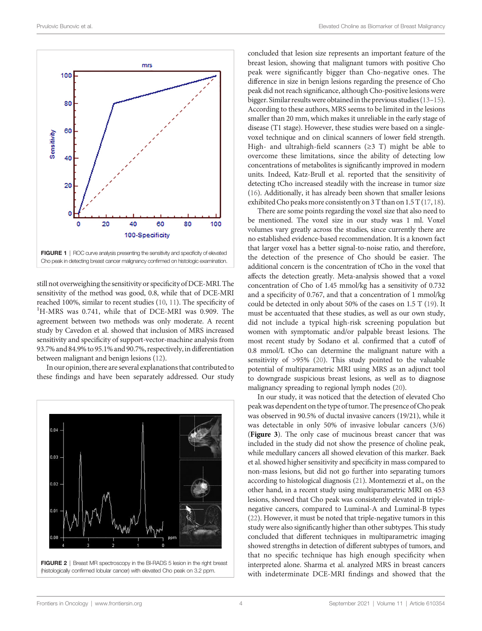<span id="page-3-0"></span>

still not overweighing the sensitivity or specificity of DCE-MRI. The sensitivity of the method was good, 0.8, while that of DCE-MRI reached 100%, similar to recent studies  $(10, 11)$  $(10, 11)$  $(10, 11)$  $(10, 11)$ . The specificity of <sup>1</sup>H-MRS was 0.741, while that of DCE-MRI was 0.909. The agreement between two methods was only moderate. A recent study by Cavedon et al. showed that inclusion of MRS increased sensitivity and specificity of support-vector-machine analysis from 93.7% and 84.9% to 95.1% and 90.7%, respectively,in differentiation between malignant and benign lesions ([12\)](#page-5-0).

In our opinion, there are several explanations that contributed to these findings and have been separately addressed. Our study



FIGURE 2 | Breast MR spectroscopy in the BI-RADS 5 lesion in the right breast (histologically confirmed lobular cancer) with elevated Cho peak on 3.2 ppm.

concluded that lesion size represents an important feature of the breast lesion, showing that malignant tumors with positive Cho peak were significantly bigger than Cho-negative ones. The difference in size in benign lesions regarding the presence of Cho peak did not reach significance, although Cho-positive lesions were bigger. Similar resultswere obtainedin the previous studies [\(13](#page-5-0)–[15\)](#page-5-0). According to these authors, MRS seems to be limited in the lesions smaller than 20 mm, which makes it unreliable in the early stage of disease (T1 stage). However, these studies were based on a singlevoxel technique and on clinical scanners of lower field strength. High- and ultrahigh-field scanners ( $\geq$ 3 T) might be able to overcome these limitations, since the ability of detecting low concentrations of metabolites is significantly improved in modern units. Indeed, Katz-Brull et al. reported that the sensitivity of detecting tCho increased steadily with the increase in tumor size [\(16](#page-5-0)). Additionally, it has already been shown that smaller lesions exhibited Cho peaks more consistently on 3 T than on 1.5 T [\(17](#page-5-0), [18\)](#page-5-0).

There are some points regarding the voxel size that also need to be mentioned. The voxel size in our study was 1 ml. Voxel volumes vary greatly across the studies, since currently there are no established evidence-based recommendation. It is a known fact that larger voxel has a better signal-to-noise ratio, and therefore, the detection of the presence of Cho should be easier. The additional concern is the concentration of tCho in the voxel that affects the detection greatly. Meta-analysis showed that a voxel concentration of Cho of 1.45 mmol/kg has a sensitivity of 0.732 and a specificity of 0.767, and that a concentration of 1 mmol/kg could be detected in only about 50% of the cases on 1.5 T [\(19](#page-5-0)). It must be accentuated that these studies, as well as our own study, did not include a typical high-risk screening population but women with symptomatic and/or palpable breast lesions. The most recent study by Sodano et al. confirmed that a cutoff of 0.8 mmol/L tCho can determine the malignant nature with a sensitivity of >95% [\(20](#page-5-0)). This study pointed to the valuable potential of multiparametric MRI using MRS as an adjunct tool to downgrade suspicious breast lesions, as well as to diagnose malignancy spreading to regional lymph nodes [\(20](#page-5-0)).

In our study, it was noticed that the detection of elevated Cho peak was dependent on the type of tumor. The presence ofCho peak was observed in 90.5% of ductal invasive cancers (19/21), while it was detectable in only 50% of invasive lobular cancers (3/6) ([Figure 3](#page-4-0)). The only case of mucinous breast cancer that was included in the study did not show the presence of choline peak, while medullary cancers all showed elevation of this marker. Baek et al. showed higher sensitivity and specificity in mass compared to non-mass lesions, but did not go further into separating tumors according to histological diagnosis [\(21\)](#page-5-0). Montemezzi et al., on the other hand, in a recent study using multiparametric MRI on 453 lesions, showed that Cho peak was consistently elevated in triplenegative cancers, compared to Luminal-A and Luminal-B types [\(22](#page-5-0)). However, it must be noted that triple-negative tumors in this study were also significantly higher than other subtypes. This study concluded that different techniques in multiparametric imaging showed strengths in detection of different subtypes of tumors, and that no specific technique has high enough specificity when interpreted alone. Sharma et al. analyzed MRS in breast cancers with indeterminate DCE-MRI findings and showed that the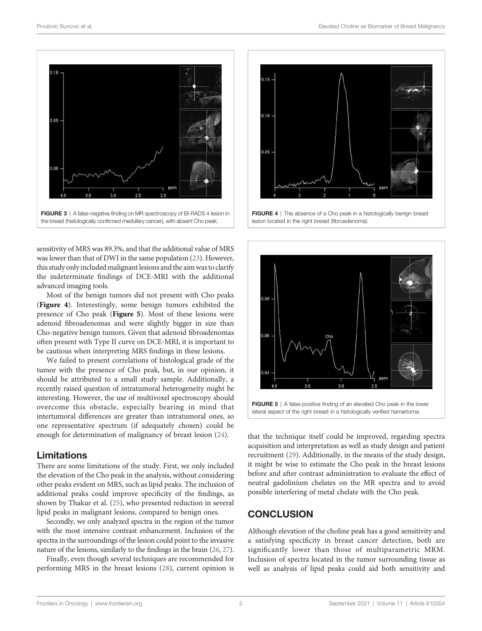<span id="page-4-0"></span>

sensitivity of MRS was 89.3%, and that the additional value of MRS was lower than that of DWI in the same population ([23\)](#page-5-0). However, this study onlyincluded malignant lesions and the aim was to clarify the indeterminate findings of DCE-MRI with the additional advanced imaging tools.

Most of the benign tumors did not present with Cho peaks (Figure 4). Interestingly, some benign tumors exhibited the presence of Cho peak (Figure 5). Most of these lesions were adenoid fibroadenomas and were slightly bigger in size than Cho-negative benign tumors. Given that adenoid fibroadenomas often present with Type II curve on DCE-MRI, it is important to be cautious when interpreting MRS findings in these lesions.

We failed to present correlations of histological grade of the tumor with the presence of Cho peak, but, in our opinion, it should be attributed to a small study sample. Additionally, a recently raised question of intratumoral heterogeneity might be interesting. However, the use of multivoxel spectroscopy should overcome this obstacle, especially bearing in mind that intertumoral differences are greater than intratumoral ones, so one representative spectrum (if adequately chosen) could be enough for determination of malignancy of breast lesion [\(24](#page-5-0)).

#### Limitations

There are some limitations of the study. First, we only included the elevation of the Cho peak in the analysis, without considering other peaks evident on MRS, such as lipid peaks. The inclusion of additional peaks could improve specificity of the findings, as shown by Thakur et al. ([25](#page-5-0)), who presented reduction in several lipid peaks in malignant lesions, compared to benign ones.

Secondly, we only analyzed spectra in the region of the tumor with the most intensive contrast enhancement. Inclusion of the spectra in the surroundings of the lesion could point to the invasive nature of the lesions, similarly to the findings in the brain [\(26,](#page-5-0) [27\)](#page-6-0).

Finally, even though several techniques are recommended for performing MRS in the breast lesions [\(28](#page-6-0)), current opinion is



FIGURE 4 | The absence of a Cho peak in a histologically benign breast lesion located in the right breast (fibroadenoma).



FIGURE 5 | A false-positive finding of an elevated Cho peak in the lower lateral aspect of the right breast in a histologically verified hamartoma.

that the technique itself could be improved, regarding spectra acquisition and interpretation as well as study design and patient recruitment ([29\)](#page-6-0). Additionally, in the means of the study design, it might be wise to estimate the Cho peak in the breast lesions before and after contrast administration to evaluate the effect of neutral gadolinium chelates on the MR spectra and to avoid possible interfering of metal chelate with the Cho peak.

#### **CONCLUSION**

Although elevation of the choline peak has a good sensitivity and a satisfying specificity in breast cancer detection, both are significantly lower than those of multiparametric MRM. Inclusion of spectra located in the tumor surrounding tissue as well as analysis of lipid peaks could aid both sensitivity and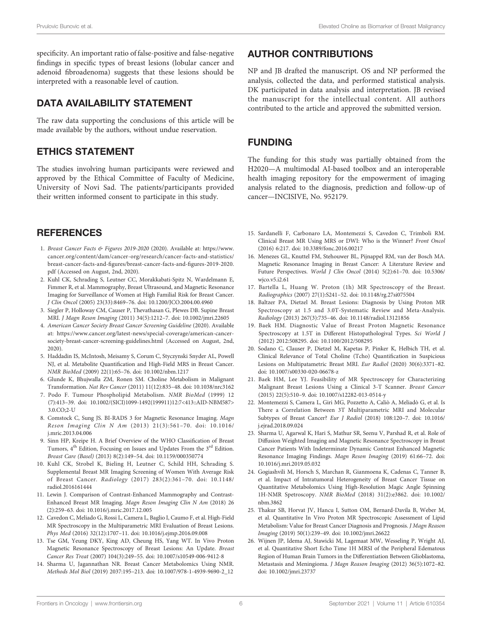<span id="page-5-0"></span>specificity. An important ratio of false-positive and false-negative findings in specific types of breast lesions (lobular cancer and adenoid fibroadenoma) suggests that these lesions should be interpreted with a reasonable level of caution.

### DATA AVAILABILITY STATEMENT

The raw data supporting the conclusions of this article will be made available by the authors, without undue reservation.

## ETHICS STATEMENT

The studies involving human participants were reviewed and approved by the Ethical Committee of Faculty of Medicine, University of Novi Sad. The patients/participants provided their written informed consent to participate in this study.

# **REFERENCES**

- 1. Breast Cancer Facts & Figures 2019-2020 (2020). Available at: [https://www.](https://www.cancer.org/content/dam/cancer-org/research/cancer-facts-and-statistics/breast-cancer-facts-and-figures/breast-cancer-facts-and-figures-2019-2020.pdf) [cancer.org/content/dam/cancer-org/research/cancer-facts-and-statistics/](https://www.cancer.org/content/dam/cancer-org/research/cancer-facts-and-statistics/breast-cancer-facts-and-figures/breast-cancer-facts-and-figures-2019-2020.pdf) breast-cancer-facts-and-fi[gures/breast-cancer-facts-and-](https://www.cancer.org/content/dam/cancer-org/research/cancer-facts-and-statistics/breast-cancer-facts-and-figures/breast-cancer-facts-and-figures-2019-2020.pdf)figures-2019-2020. [pdf](https://www.cancer.org/content/dam/cancer-org/research/cancer-facts-and-statistics/breast-cancer-facts-and-figures/breast-cancer-facts-and-figures-2019-2020.pdf) (Accessed on August, 2nd, 2020).
- 2. Kuhl CK, Schrading S, Leutner CC, Morakkabati-Spitz N, Wardelmann E, Fimmer R, et al. Mammography, Breast Ultrasound, and Magnetic Resonance Imaging for Surveillance of Women at High Familial Risk for Breast Cancer. J Clin Oncol (2005) 23(33):8469–76. doi: [10.1200/JCO.2004.00.4960](https://doi.org/10.1200/JCO.2004.00.4960)
- 3. Siegler P, Holloway CM, Causer P, Thevathasan G, Plewes DB. Supine Breast MRI. J Magn Reson Imaging (2011) 34(5):1212–7. doi: [10.1002/jmri.22605](https://doi.org/10.1002/jmri.22605)
- 4. American Cancer Society Breast Cancer Screening Guideline (2020). Available at: [https://www.cancer.org/latest-news/special-coverage/american-cancer](https://www.cancer.org/latest-news/special-coverage/american-cancer-society-breast-cancer-screening-guidelines.html)[society-breast-cancer-screening-guidelines.html](https://www.cancer.org/latest-news/special-coverage/american-cancer-society-breast-cancer-screening-guidelines.html) (Accessed on August, 2nd, 2020).
- 5. Haddadin IS, McIntosh, Meisamy S, Corum C, Styczynski Snyder AL, Powell NJ, et al. Metabolite Quantification and High-Field MRS in Breast Cancer. NMR BioMed (2009) 22(1):65–76. doi: [10.1002/nbm.1217](https://doi.org/10.1002/nbm.1217)
- 6. Glunde K, Bhujwalla ZM, Ronen SM. Choline Metabolism in Malignant Transformation. Nat Rev Cancer (2011) 11(12):835–48. doi: [10.1038/nrc3162](https://doi.org/10.1038/nrc3162)
- 7. Podo F. Tumour Phospholipid Metabolism. NMR BioMed (1999) 12 (7):413–39. doi: [10.1002/\(SICI\)1099-1492\(199911\)12:7<413::AID-NBM587>](https://doi.org/10.1002/(SICI)1099-1492(199911)12:7%3C413::AID-NBM587%3E 3.0.CO;2-U) [3.0.CO;2-U](https://doi.org/10.1002/(SICI)1099-1492(199911)12:7%3C413::AID-NBM587%3E 3.0.CO;2-U)
- 8. Comstock C, Sung JS. BI-RADS 3 for Magnetic Resonance Imaging. Magn Reson Imaging Clin N Am (2013) 21(3):561–70. doi: [10.1016/](https://doi.org/10.1016/j.mric.2013.04.006) [j.mric.2013.04.006](https://doi.org/10.1016/j.mric.2013.04.006)
- 9. Sinn HP, Kreipe H. A Brief Overview of the WHO Classification of Breast Tumors, 4<sup>th</sup> Edition, Focusing on Issues and Updates From the 3<sup>rd</sup> Edition. Breast Care (Basel) (2013) 8(2):149–54. doi: [10.1159/000350774](https://doi.org/10.1159/000350774)
- 10. Kuhl CK, Strobel K, Bieling H, Leutner C, Schild HH, Schrading S. Supplemental Breast MR Imaging Screening of Women With Average Risk of Breast Cancer. Radiology (2017) 283(2):361–70. doi: [10.1148/](https://doi.org/10.1148/radiol.2016161444) [radiol.2016161444](https://doi.org/10.1148/radiol.2016161444)
- 11. Lewin J. Comparison of Contrast-Enhanced Mammography and Contrast-Enhanced Breast MR Imaging. Magn Reson Imaging Clin N Am (2018) 26 (2):259–63. doi: [10.1016/j.mric.2017.12.005](https://doi.org/10.1016/j.mric.2017.12.005)
- 12. Cavedon C, Meliado G, Rossi L, Camera L, Baglio I, Caumo F, et al. High-Field MR Spectroscopy in the Multiparametric MRI Evaluation of Breast Lesions. Phys Med (2016) 32(12):1707–11. doi: [10.1016/j.ejmp.2016.09.008](https://doi.org/10.1016/j.ejmp.2016.09.008)
- 13. Tse GM, Yeung DKY, King AD, Cheung HS, Yang WT. In Vivo Proton Magnetic Resonance Spectroscopy of Breast Lesions: An Update. Breast Cancer Res Treat (2007) 104(3):249–55. doi: [10.1007/s10549-006-9412-8](https://doi.org/10.1007/s10549-006-9412-8)
- 14. Sharma U, Jagannathan NR. Breast Cancer Metabolomics Using NMR. Methods Mol Biol (2019) 2037:195–213. doi: [10.1007/978-1-4939-9690-2\\_12](https://doi.org/10.1007/978-1-4939-9690-2_12)

## AUTHOR CONTRIBUTIONS

NP and JB drafted the manuscript. OS and NP performed the analysis, collected the data, and performed statistical analysis. DK participated in data analysis and interpretation. JB revised the manuscript for the intellectual content. All authors contributed to the article and approved the submitted version.

## FUNDING

The funding for this study was partially obtained from the H2020—A multimodal AI-based toolbox and an interoperable health imaging repository for the empowerment of imaging analysis related to the diagnosis, prediction and follow-up of cancer—INCISIVE, No. 952179.

- 15. Sardanelli F, Carbonaro LA, Montemezzi S, Cavedon C, Trimboli RM. Clinical Breast MR Using MRS or DWI: Who is the Winner? Front Oncol (2016) 6:217. doi: [10.3389/fonc.2016.00217](https://doi.org/10.3389/fonc.2016.00217)
- 16. Menezes GL, Knuttel FM, Stehouwer BL, Pijnappel RM, van der Bosch MA. Magnetic Resonance Imaging in Breast Cancer: A Literature Review and Future Perspectives. World J Clin Oncol (2014) 5(2):61–70. doi: [10.5306/](https://doi.org/10.5306/wjco.v5.i2.61) wico.v5.i2.61
- 17. Bartella L, Huang W. Proton (1h) MR Spectroscopy of the Breast. Radiographics (2007) 27(1):S241–52. doi: [10.1148/rg.27si075504](https://doi.org/10.1148/rg.27si075504)
- 18. Baltzer PA, Dietzel M. Breast Lesions: Diagnosis by Using Proton MR Spectroscopy at 1.5 and 3.0T-Systematic Review and Meta-Analysis. Radiology (2013) 267(3):735–46. doi: [10.1148/radiol.13121856](https://doi.org/10.1148/radiol.13121856)
- 19. Baek HM. Diagnostic Value of Breast Proton Magnetic Resonance Spectroscopy at 1.5T in Different Histopathologival Types. Sci World J (2012) 2012:508295. doi: [10.1100/2012/508295](https://doi.org/10.1100/2012/508295)
- 20. Sodano C, Clauser P, Dietzel M, Kapetas P, Pinker K, Helbich TH, et al. Clinical Relevance of Total Choline (Tcho) Quantification in Suspicious Lesions on Multipatametric Breast MRI. Eur Radiol (2020) 30(6):3371–82. doi: [10.1007/s00330-020-06678-z](https://doi.org/10.1007/s00330-020-06678-z)
- 21. Baek HM, Lee YJ. Feasibility of MR Spectroscopy for Characterizing Malignant Breast Lesions Using a Clinical 3-T Scanner. Breast Cancer (2015) 22(5):510–9. doi: [10.1007/s12282-013-0514-y](https://doi.org/10.1007/s12282-013-0514-y)
- 22. Montemezzi S, Camera L, Giri MG, Pozzetto A, Caliò A, Meliadò G, et al. Is There a Correlation Between 3T Multiparametric MRI and Molecular Subtypes of Breast Cancer? Eur J Radiol (2018) 108:120–7. doi: [10.1016/](https://doi.org/10.1016/j.ejrad.2018.09.024) [j.ejrad.2018.09.024](https://doi.org/10.1016/j.ejrad.2018.09.024)
- 23. Sharma U, Agarwal K, Hari S, Mathur SR, Seenu V, Parshad R, et al. Role of Diffusion Weighted Imaging and Magnetic Resonance Spectroscopy in Breast Cancer Patients With Indeterminate Dynamic Contrast Enhanced Magnetic Resonance Imaging Findings. Magn Reson Imaging (2019) 61:66–72. doi: [10.1016/j.mri.2019.05.032](https://doi.org/10.1016/j.mri.2019.05.032)
- 24. Gogiashvili M, Horsch S, Marchan R, Gianmoena K, Cadenas C, Tanner B, et al. Impact of Intratumoral Heterogeneity of Breast Cancer Tissue on Quantitative Metabolomics Using High-Resolution Magic Angle Spinning 1H-NMR Spetroscopy. NMR BioMed (2018) 31(2):e3862. doi: [10.1002/](https://doi.org/10.1002/nbm.3862) [nbm.3862](https://doi.org/10.1002/nbm.3862)
- 25. Thakur SB, Horvat JV, Hancu I, Sutton OM, Bernard-Davila B, Weber M, et al. Quantitative In Vivo Proton MR Spectroscopic Assessment of Lipid Metabolism: Value for Breast Cancer Diagnosis and Prognosis. J Magn Reason Imaging (2019) 50(1):239–49. doi: [10.1002/jmri.26622](https://doi.org/10.1002/jmri.26622)
- 26. Wijnen JP, Idema AJ, Stawicki M, Lagemaat MW, Wesseling P, Wright AJ, et al. Quantitative Short Echo Time 1H MRSI of the Peripheral Edematous Region of Human Brain Tumors in the Differentiation Between Glioblastoma, Metastasis and Meningioma. J Magn Reason Imaging (2012) 36(5):1072–82. doi: [10.1002/jmri.23737](https://doi.org/10.1002/jmri.23737)